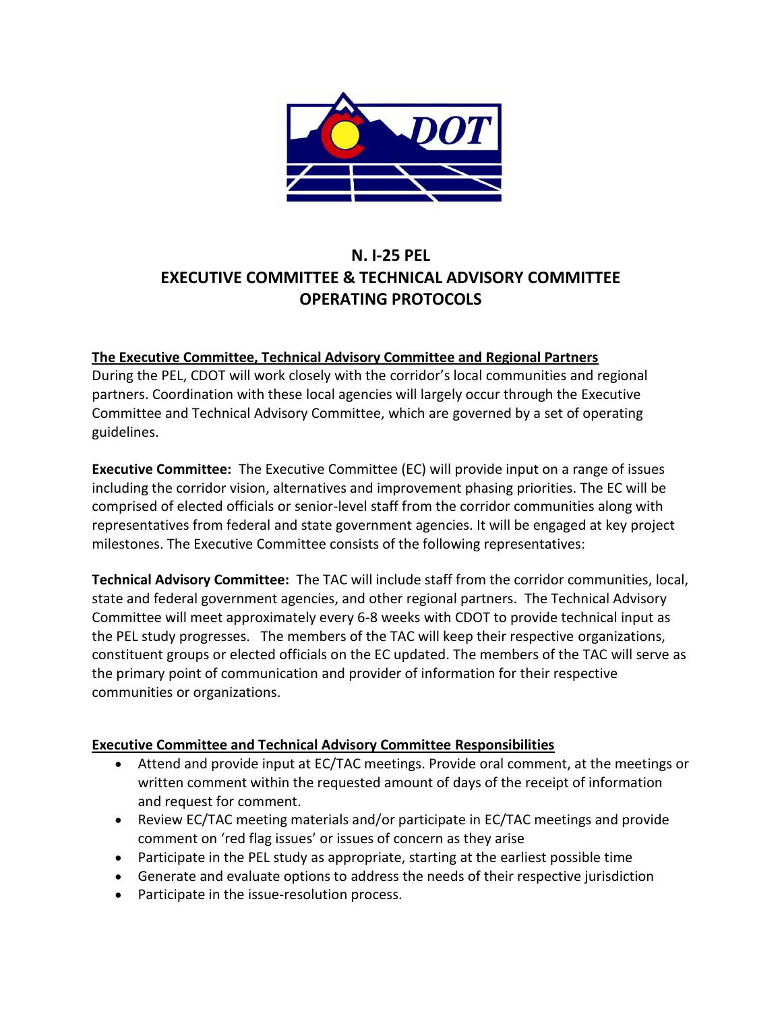

# **N. I-25 PEL EXECUTIVE COMMITTEE & TECHNICAL ADVISORY COMMITTEE OPERATING PROTOCOLS**

#### **The Executive Committee, Technical Advisory Committee and Regional Partners**

During the PEL, CDOT will work closely with the corridor's local communities and regional partners. Coordination with these local agencies will largely occur through the Executive Committee and Technical Advisory Committee, which are governed by a set of operating guidelines.

**Executive Committee:** The Executive Committee (EC) will provide input on a range of issues including the corridor vision, alternatives and improvement phasing priorities. The EC will be comprised of elected officials or senior-level staff from the corridor communities along with representatives from federal and state government agencies. It will be engaged at key project milestones. The Executive Committee consists of the following representatives:

**Technical Advisory Committee:** The TAC will include staff from the corridor communities, local, state and federal government agencies, and other regional partners. The Technical Advisory Committee will meet approximately every 6-8 weeks with CDOT to provide technical input as the PEL study progresses. The members of the TAC will keep their respective organizations, constituent groups or elected officials on the EC updated. The members of the TAC will serve as the primary point of communication and provider of information for their respective communities or organizations.

#### **Executive Committee and Technical Advisory Committee Responsibilities**

- Attend and provide input at EC/TAC meetings. Provide oral comment, at the meetings or written comment within the requested amount of days of the receipt of information and request for comment.
- Review EC/TAC meeting materials and/or participate in EC/TAC meetings and provide comment on 'red flag issues' or issues of concern as they arise
- Participate in the PEL study as appropriate, starting at the earliest possible time
- Generate and evaluate options to address the needs of their respective jurisdiction
- Participate in the issue-resolution process.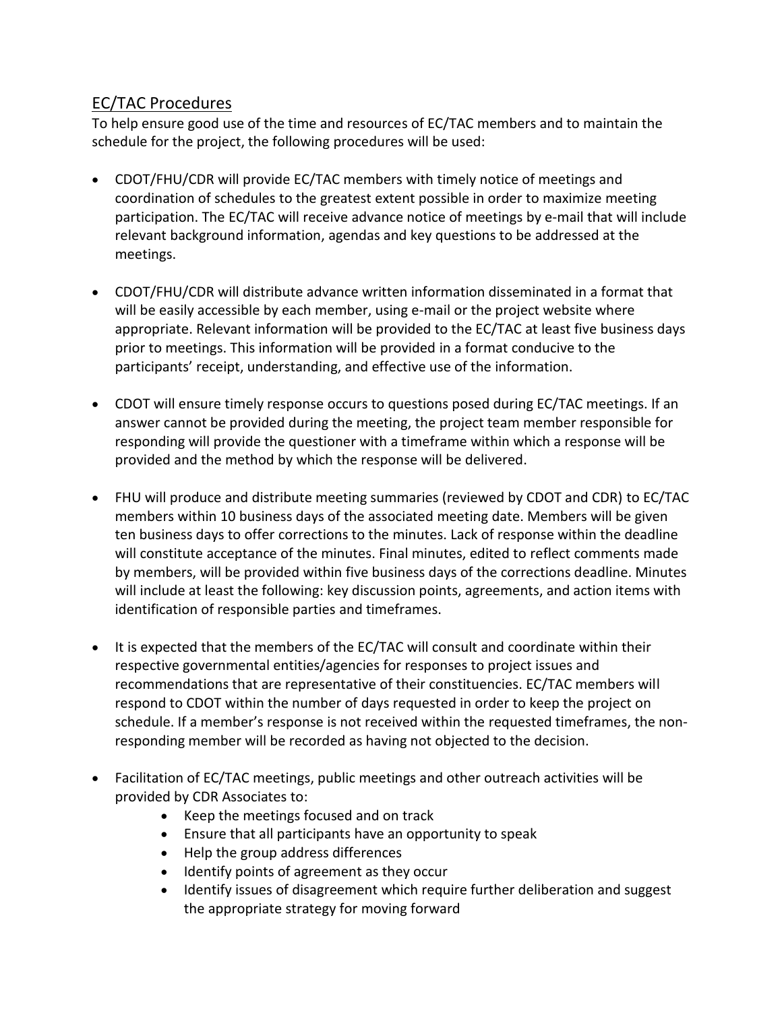### EC/TAC Procedures

To help ensure good use of the time and resources of EC/TAC members and to maintain the schedule for the project, the following procedures will be used:

- CDOT/FHU/CDR will provide EC/TAC members with timely notice of meetings and coordination of schedules to the greatest extent possible in order to maximize meeting participation. The EC/TAC will receive advance notice of meetings by e-mail that will include relevant background information, agendas and key questions to be addressed at the meetings.
- CDOT/FHU/CDR will distribute advance written information disseminated in a format that will be easily accessible by each member, using e-mail or the project website where appropriate. Relevant information will be provided to the EC/TAC at least five business days prior to meetings. This information will be provided in a format conducive to the participants' receipt, understanding, and effective use of the information.
- CDOT will ensure timely response occurs to questions posed during EC/TAC meetings. If an answer cannot be provided during the meeting, the project team member responsible for responding will provide the questioner with a timeframe within which a response will be provided and the method by which the response will be delivered.
- FHU will produce and distribute meeting summaries (reviewed by CDOT and CDR) to EC/TAC members within 10 business days of the associated meeting date. Members will be given ten business days to offer corrections to the minutes. Lack of response within the deadline will constitute acceptance of the minutes. Final minutes, edited to reflect comments made by members, will be provided within five business days of the corrections deadline. Minutes will include at least the following: key discussion points, agreements, and action items with identification of responsible parties and timeframes.
- It is expected that the members of the EC/TAC will consult and coordinate within their respective governmental entities/agencies for responses to project issues and recommendations that are representative of their constituencies. EC/TAC members will respond to CDOT within the number of days requested in order to keep the project on schedule. If a member's response is not received within the requested timeframes, the nonresponding member will be recorded as having not objected to the decision.
- Facilitation of EC/TAC meetings, public meetings and other outreach activities will be provided by CDR Associates to:
	- Keep the meetings focused and on track
	- Ensure that all participants have an opportunity to speak
	- Help the group address differences
	- Identify points of agreement as they occur
	- Identify issues of disagreement which require further deliberation and suggest the appropriate strategy for moving forward